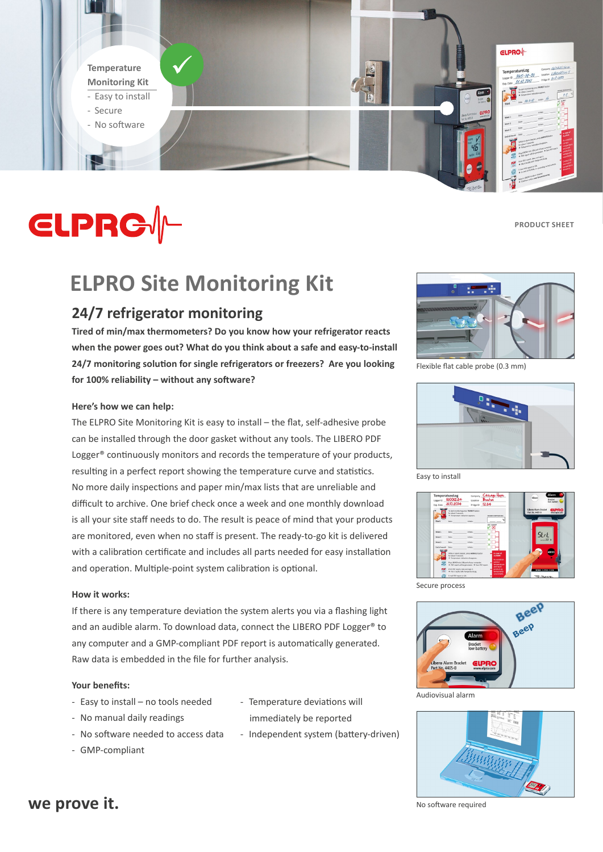**Temperature Monitoring Kit** - Easy to install

- Secure
- No software



**ELPRO**<sup>1</sup>

# **CLPRG//-**

**Product Sheet**

# **ELPRO Site Monitoring Kit**

### **24/7 refrigerator monitoring**

**Tired of min/max thermometers? Do you know how your refrigerator reacts when the power goes out? What do you think about a safe and easy-to-install 24/7 monitoring solution for single refrigerators or freezers? Are you looking for 100% reliability – without any software?** 

#### **Here's how we can help:**

The ELPRO Site Monitoring Kit is easy to install – the flat, self-adhesive probe can be installed through the door gasket without any tools. The LIBERO PDF Logger<sup>®</sup> continuously monitors and records the temperature of your products, resulting in a perfect report showing the temperature curve and statistics. No more daily inspections and paper min/max lists that are unreliable and difficult to archive. One brief check once a week and one monthly download is all your site staff needs to do. The result is peace of mind that your products are monitored, even when no staff is present. The ready-to-go kit is delivered with a calibration certificate and includes all parts needed for easy installation and operation. Multiple-point system calibration is optional.

#### **How it works:**

If there is any temperature deviation the system alerts you via a flashing light and an audible alarm. To download data, connect the LIBERO PDF Logger<sup>®</sup> to any computer and a GMP-compliant PDF report is automatically generated. Raw data is embedded in the file for further analysis.

#### **Your benefits:**

- Easy to install – no tools needed

- No software needed to access data

- No manual daily readings

- Temperature deviations will immediately be reported
- Independent system (battery-driven)

- GMP-compliant

74

Flexible flat cable probe (0.3 mm)



Easy to install



Secure process



Audiovisual alarm





No software required